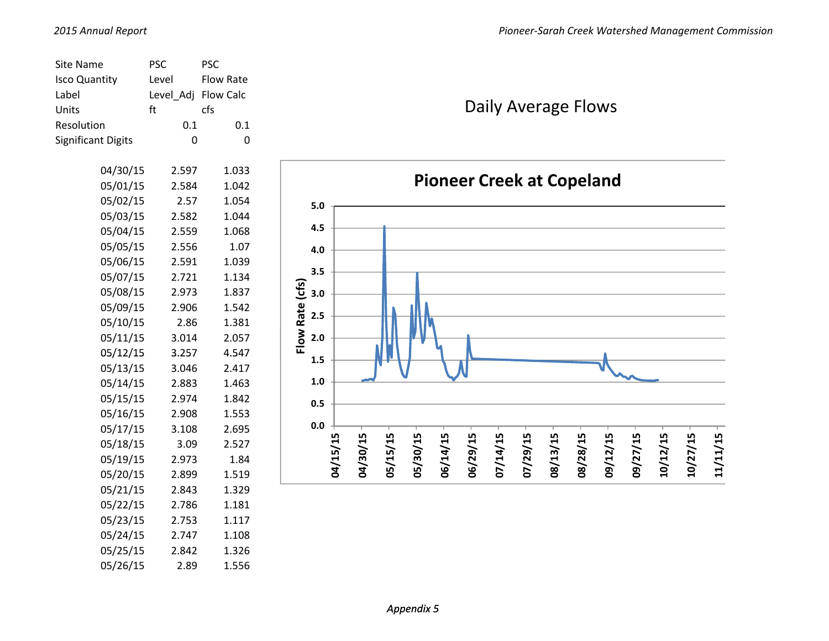| <b>Site Name</b>          | <b>PSC</b>  | <b>PSC</b> |                                                                                                                                  |
|---------------------------|-------------|------------|----------------------------------------------------------------------------------------------------------------------------------|
| <b>Isco Quantity</b>      | Level       | Flow Rate  |                                                                                                                                  |
| Label                     | Level_Adj   | Flow Calc  |                                                                                                                                  |
| Units                     | ft          | cfs        | Daily Average Flows                                                                                                              |
| Resolution                | 0.1         | 0.1        |                                                                                                                                  |
| <b>Significant Digits</b> | $\mathbf 0$ | $\pmb{0}$  |                                                                                                                                  |
|                           |             |            |                                                                                                                                  |
| 04/30/15                  | 2.597       | 1.033      | <b>Pioneer Creek at Copeland</b>                                                                                                 |
| 05/01/15                  | 2.584       | 1.042      |                                                                                                                                  |
| 05/02/15                  | 2.57        | 1.054      | $5.0$                                                                                                                            |
| 05/03/15                  | 2.582       | 1.044      | 4.5                                                                                                                              |
| 05/04/15                  | 2.559       | 1.068      |                                                                                                                                  |
| 05/05/15                  | 2.556       | 1.07       | 4.0                                                                                                                              |
| 05/06/15                  | 2.591       | 1.039      | 3.5                                                                                                                              |
| 05/07/15                  | 2.721       | 1.134      |                                                                                                                                  |
| 05/08/15                  | 2.973       | 1.837      | Flow Rate (cfs)<br>3.0                                                                                                           |
| 05/09/15                  | 2.906       | 1.542      | 2.5                                                                                                                              |
| 05/10/15                  | 2.86        | 1.381      |                                                                                                                                  |
| 05/11/15                  | 3.014       | 2.057      | 2.0                                                                                                                              |
| 05/12/15                  | 3.257       | 4.547      | 1.5                                                                                                                              |
| 05/13/15                  | 3.046       | 2.417      |                                                                                                                                  |
| 05/14/15                  | 2.883       | 1.463      | $1.0\,$                                                                                                                          |
| 05/15/15                  | 2.974       | 1.842      | 0.5                                                                                                                              |
| 05/16/15                  | 2.908       | 1.553      |                                                                                                                                  |
| 05/17/15                  | 3.108       | 2.695      | 0.0                                                                                                                              |
| 05/18/15                  | 3.09        | 2.527      |                                                                                                                                  |
| 05/19/15                  | 2.973       | 1.84       | 04/15/15<br>04/30/15<br>05/15/15<br>07/14/15<br>09/12/15<br>05/30/15<br>06/14/15<br>06/29/15<br>07/29/15<br>08/13/15<br>08/28/15 |
| 05/20/15                  | 2.899       | 1.519      |                                                                                                                                  |
| 05/21/15                  | 2.843       | 1.329      |                                                                                                                                  |
| 05/22/15                  | 2.786       | 1.181      |                                                                                                                                  |
| 05/23/15                  | 2.753       | 1.117      |                                                                                                                                  |
| 05/24/15                  | 2.747       | 1.108      |                                                                                                                                  |

05/25/15 2.842 1.326 05/26/15 2.89 1.556 **09/27/15**

**10/12/15**

**10/27/15**

**11/11/15**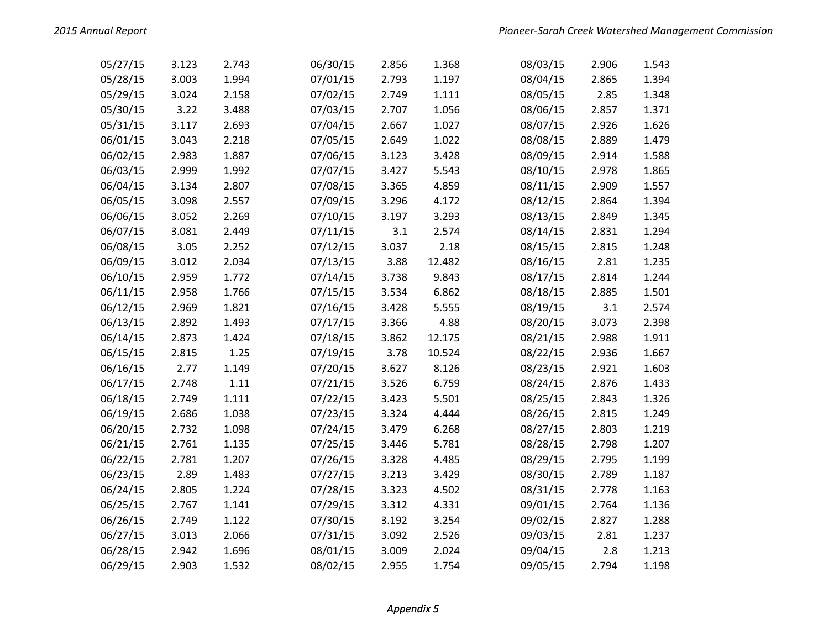| 05/27/15 | 3.123 | 2.743 | 06/30/15 | 2.856 | 1.368  | 08/03/15 | 2.906 | 1.543 |
|----------|-------|-------|----------|-------|--------|----------|-------|-------|
| 05/28/15 | 3.003 | 1.994 | 07/01/15 | 2.793 | 1.197  | 08/04/15 | 2.865 | 1.394 |
| 05/29/15 | 3.024 | 2.158 | 07/02/15 | 2.749 | 1.111  | 08/05/15 | 2.85  | 1.348 |
| 05/30/15 | 3.22  | 3.488 | 07/03/15 | 2.707 | 1.056  | 08/06/15 | 2.857 | 1.371 |
| 05/31/15 | 3.117 | 2.693 | 07/04/15 | 2.667 | 1.027  | 08/07/15 | 2.926 | 1.626 |
| 06/01/15 | 3.043 | 2.218 | 07/05/15 | 2.649 | 1.022  | 08/08/15 | 2.889 | 1.479 |
| 06/02/15 | 2.983 | 1.887 | 07/06/15 | 3.123 | 3.428  | 08/09/15 | 2.914 | 1.588 |
| 06/03/15 | 2.999 | 1.992 | 07/07/15 | 3.427 | 5.543  | 08/10/15 | 2.978 | 1.865 |
| 06/04/15 | 3.134 | 2.807 | 07/08/15 | 3.365 | 4.859  | 08/11/15 | 2.909 | 1.557 |
| 06/05/15 | 3.098 | 2.557 | 07/09/15 | 3.296 | 4.172  | 08/12/15 | 2.864 | 1.394 |
| 06/06/15 | 3.052 | 2.269 | 07/10/15 | 3.197 | 3.293  | 08/13/15 | 2.849 | 1.345 |
| 06/07/15 | 3.081 | 2.449 | 07/11/15 | 3.1   | 2.574  | 08/14/15 | 2.831 | 1.294 |
| 06/08/15 | 3.05  | 2.252 | 07/12/15 | 3.037 | 2.18   | 08/15/15 | 2.815 | 1.248 |
| 06/09/15 | 3.012 | 2.034 | 07/13/15 | 3.88  | 12.482 | 08/16/15 | 2.81  | 1.235 |
| 06/10/15 | 2.959 | 1.772 | 07/14/15 | 3.738 | 9.843  | 08/17/15 | 2.814 | 1.244 |
| 06/11/15 | 2.958 | 1.766 | 07/15/15 | 3.534 | 6.862  | 08/18/15 | 2.885 | 1.501 |
| 06/12/15 | 2.969 | 1.821 | 07/16/15 | 3.428 | 5.555  | 08/19/15 | 3.1   | 2.574 |
| 06/13/15 | 2.892 | 1.493 | 07/17/15 | 3.366 | 4.88   | 08/20/15 | 3.073 | 2.398 |
| 06/14/15 | 2.873 | 1.424 | 07/18/15 | 3.862 | 12.175 | 08/21/15 | 2.988 | 1.911 |
| 06/15/15 | 2.815 | 1.25  | 07/19/15 | 3.78  | 10.524 | 08/22/15 | 2.936 | 1.667 |
| 06/16/15 | 2.77  | 1.149 | 07/20/15 | 3.627 | 8.126  | 08/23/15 | 2.921 | 1.603 |
| 06/17/15 | 2.748 | 1.11  | 07/21/15 | 3.526 | 6.759  | 08/24/15 | 2.876 | 1.433 |
| 06/18/15 | 2.749 | 1.111 | 07/22/15 | 3.423 | 5.501  | 08/25/15 | 2.843 | 1.326 |
| 06/19/15 | 2.686 | 1.038 | 07/23/15 | 3.324 | 4.444  | 08/26/15 | 2.815 | 1.249 |
| 06/20/15 | 2.732 | 1.098 | 07/24/15 | 3.479 | 6.268  | 08/27/15 | 2.803 | 1.219 |
| 06/21/15 | 2.761 | 1.135 | 07/25/15 | 3.446 | 5.781  | 08/28/15 | 2.798 | 1.207 |
| 06/22/15 | 2.781 | 1.207 | 07/26/15 | 3.328 | 4.485  | 08/29/15 | 2.795 | 1.199 |
| 06/23/15 | 2.89  | 1.483 | 07/27/15 | 3.213 | 3.429  | 08/30/15 | 2.789 | 1.187 |
| 06/24/15 | 2.805 | 1.224 | 07/28/15 | 3.323 | 4.502  | 08/31/15 | 2.778 | 1.163 |
| 06/25/15 | 2.767 | 1.141 | 07/29/15 | 3.312 | 4.331  | 09/01/15 | 2.764 | 1.136 |
| 06/26/15 | 2.749 | 1.122 | 07/30/15 | 3.192 | 3.254  | 09/02/15 | 2.827 | 1.288 |
| 06/27/15 | 3.013 | 2.066 | 07/31/15 | 3.092 | 2.526  | 09/03/15 | 2.81  | 1.237 |
| 06/28/15 | 2.942 | 1.696 | 08/01/15 | 3.009 | 2.024  | 09/04/15 | 2.8   | 1.213 |
| 06/29/15 | 2.903 | 1.532 | 08/02/15 | 2.955 | 1.754  | 09/05/15 | 2.794 | 1.198 |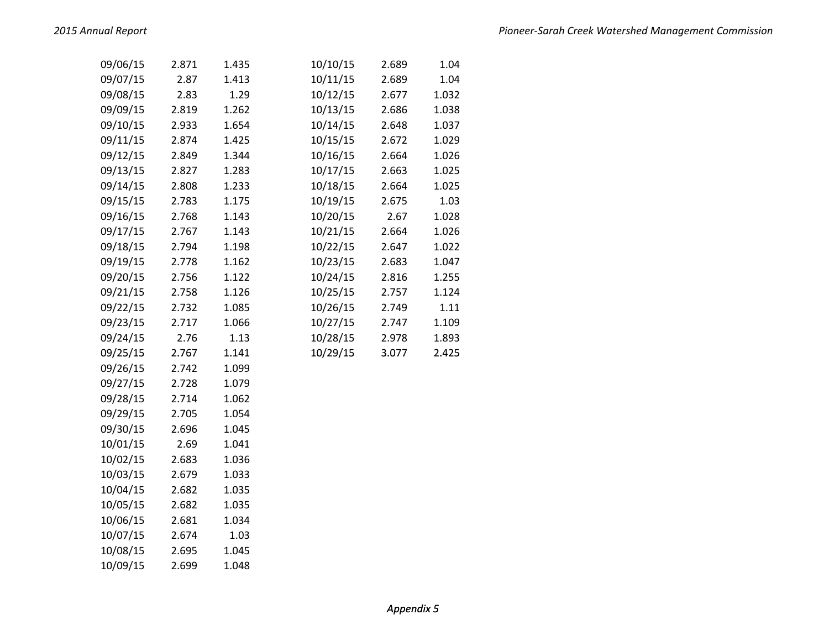| 09/06/15 | 2.871 | 1.435 | 10/10/15 | 2.689 | 1.04  |
|----------|-------|-------|----------|-------|-------|
| 09/07/15 | 2.87  | 1.413 | 10/11/15 | 2.689 | 1.04  |
| 09/08/15 | 2.83  | 1.29  | 10/12/15 | 2.677 | 1.032 |
| 09/09/15 | 2.819 | 1.262 | 10/13/15 | 2.686 | 1.038 |
| 09/10/15 | 2.933 | 1.654 | 10/14/15 | 2.648 | 1.037 |
| 09/11/15 | 2.874 | 1.425 | 10/15/15 | 2.672 | 1.029 |
| 09/12/15 | 2.849 | 1.344 | 10/16/15 | 2.664 | 1.026 |
| 09/13/15 | 2.827 | 1.283 | 10/17/15 | 2.663 | 1.025 |
| 09/14/15 | 2.808 | 1.233 | 10/18/15 | 2.664 | 1.025 |
| 09/15/15 | 2.783 | 1.175 | 10/19/15 | 2.675 | 1.03  |
| 09/16/15 | 2.768 | 1.143 | 10/20/15 | 2.67  | 1.028 |
| 09/17/15 | 2.767 | 1.143 | 10/21/15 | 2.664 | 1.026 |
| 09/18/15 | 2.794 | 1.198 | 10/22/15 | 2.647 | 1.022 |
| 09/19/15 | 2.778 | 1.162 | 10/23/15 | 2.683 | 1.047 |
| 09/20/15 | 2.756 | 1.122 | 10/24/15 | 2.816 | 1.255 |
| 09/21/15 | 2.758 | 1.126 | 10/25/15 | 2.757 | 1.124 |
| 09/22/15 | 2.732 | 1.085 | 10/26/15 | 2.749 | 1.11  |
| 09/23/15 | 2.717 | 1.066 | 10/27/15 | 2.747 | 1.109 |
| 09/24/15 | 2.76  | 1.13  | 10/28/15 | 2.978 | 1.893 |
| 09/25/15 | 2.767 | 1.141 | 10/29/15 | 3.077 | 2.425 |
| 09/26/15 | 2.742 | 1.099 |          |       |       |
| 09/27/15 | 2.728 | 1.079 |          |       |       |
| 09/28/15 | 2.714 | 1.062 |          |       |       |
| 09/29/15 | 2.705 | 1.054 |          |       |       |
| 09/30/15 | 2.696 | 1.045 |          |       |       |
| 10/01/15 | 2.69  | 1.041 |          |       |       |
| 10/02/15 | 2.683 | 1.036 |          |       |       |
| 10/03/15 | 2.679 | 1.033 |          |       |       |
| 10/04/15 | 2.682 | 1.035 |          |       |       |
| 10/05/15 | 2.682 | 1.035 |          |       |       |
| 10/06/15 | 2.681 | 1.034 |          |       |       |
| 10/07/15 | 2.674 | 1.03  |          |       |       |
| 10/08/15 | 2.695 | 1.045 |          |       |       |
| 10/09/15 | 2.699 | 1.048 |          |       |       |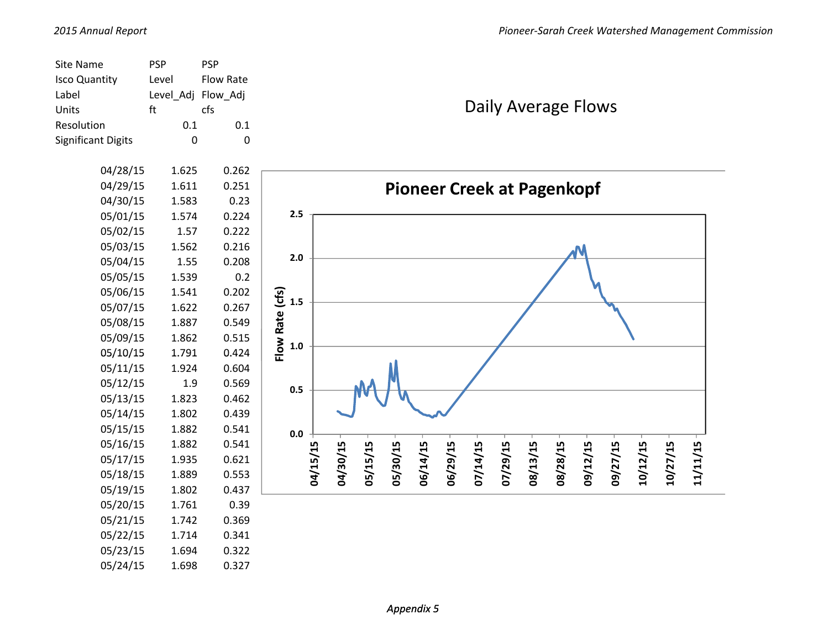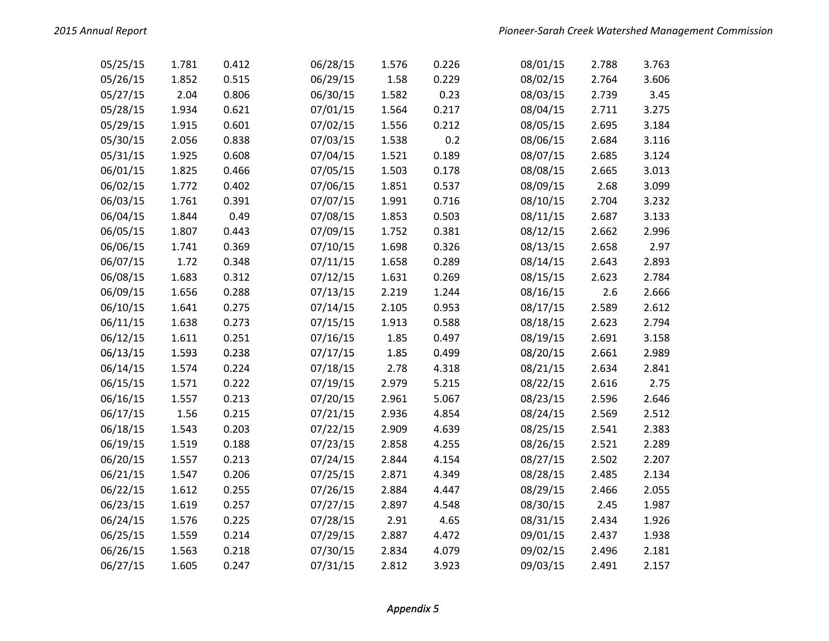| 05/25/15 | 1.781 | 0.412 | 06/28/15 | 1.576 | 0.226 | 08/01/15 | 2.788 | 3.763 |
|----------|-------|-------|----------|-------|-------|----------|-------|-------|
| 05/26/15 | 1.852 | 0.515 | 06/29/15 | 1.58  | 0.229 | 08/02/15 | 2.764 | 3.606 |
| 05/27/15 | 2.04  | 0.806 | 06/30/15 | 1.582 | 0.23  | 08/03/15 | 2.739 | 3.45  |
| 05/28/15 | 1.934 | 0.621 | 07/01/15 | 1.564 | 0.217 | 08/04/15 | 2.711 | 3.275 |
| 05/29/15 | 1.915 | 0.601 | 07/02/15 | 1.556 | 0.212 | 08/05/15 | 2.695 | 3.184 |
| 05/30/15 | 2.056 | 0.838 | 07/03/15 | 1.538 | 0.2   | 08/06/15 | 2.684 | 3.116 |
| 05/31/15 | 1.925 | 0.608 | 07/04/15 | 1.521 | 0.189 | 08/07/15 | 2.685 | 3.124 |
| 06/01/15 | 1.825 | 0.466 | 07/05/15 | 1.503 | 0.178 | 08/08/15 | 2.665 | 3.013 |
| 06/02/15 | 1.772 | 0.402 | 07/06/15 | 1.851 | 0.537 | 08/09/15 | 2.68  | 3.099 |
| 06/03/15 | 1.761 | 0.391 | 07/07/15 | 1.991 | 0.716 | 08/10/15 | 2.704 | 3.232 |
| 06/04/15 | 1.844 | 0.49  | 07/08/15 | 1.853 | 0.503 | 08/11/15 | 2.687 | 3.133 |
| 06/05/15 | 1.807 | 0.443 | 07/09/15 | 1.752 | 0.381 | 08/12/15 | 2.662 | 2.996 |
| 06/06/15 | 1.741 | 0.369 | 07/10/15 | 1.698 | 0.326 | 08/13/15 | 2.658 | 2.97  |
| 06/07/15 | 1.72  | 0.348 | 07/11/15 | 1.658 | 0.289 | 08/14/15 | 2.643 | 2.893 |
| 06/08/15 | 1.683 | 0.312 | 07/12/15 | 1.631 | 0.269 | 08/15/15 | 2.623 | 2.784 |
| 06/09/15 | 1.656 | 0.288 | 07/13/15 | 2.219 | 1.244 | 08/16/15 | 2.6   | 2.666 |
| 06/10/15 | 1.641 | 0.275 | 07/14/15 | 2.105 | 0.953 | 08/17/15 | 2.589 | 2.612 |
| 06/11/15 | 1.638 | 0.273 | 07/15/15 | 1.913 | 0.588 | 08/18/15 | 2.623 | 2.794 |
| 06/12/15 | 1.611 | 0.251 | 07/16/15 | 1.85  | 0.497 | 08/19/15 | 2.691 | 3.158 |
| 06/13/15 | 1.593 | 0.238 | 07/17/15 | 1.85  | 0.499 | 08/20/15 | 2.661 | 2.989 |
| 06/14/15 | 1.574 | 0.224 | 07/18/15 | 2.78  | 4.318 | 08/21/15 | 2.634 | 2.841 |
| 06/15/15 | 1.571 | 0.222 | 07/19/15 | 2.979 | 5.215 | 08/22/15 | 2.616 | 2.75  |
| 06/16/15 | 1.557 | 0.213 | 07/20/15 | 2.961 | 5.067 | 08/23/15 | 2.596 | 2.646 |
| 06/17/15 | 1.56  | 0.215 | 07/21/15 | 2.936 | 4.854 | 08/24/15 | 2.569 | 2.512 |
| 06/18/15 | 1.543 | 0.203 | 07/22/15 | 2.909 | 4.639 | 08/25/15 | 2.541 | 2.383 |
| 06/19/15 | 1.519 | 0.188 | 07/23/15 | 2.858 | 4.255 | 08/26/15 | 2.521 | 2.289 |
| 06/20/15 | 1.557 | 0.213 | 07/24/15 | 2.844 | 4.154 | 08/27/15 | 2.502 | 2.207 |
| 06/21/15 | 1.547 | 0.206 | 07/25/15 | 2.871 | 4.349 | 08/28/15 | 2.485 | 2.134 |
| 06/22/15 | 1.612 | 0.255 | 07/26/15 | 2.884 | 4.447 | 08/29/15 | 2.466 | 2.055 |
| 06/23/15 | 1.619 | 0.257 | 07/27/15 | 2.897 | 4.548 | 08/30/15 | 2.45  | 1.987 |
| 06/24/15 | 1.576 | 0.225 | 07/28/15 | 2.91  | 4.65  | 08/31/15 | 2.434 | 1.926 |
| 06/25/15 | 1.559 | 0.214 | 07/29/15 | 2.887 | 4.472 | 09/01/15 | 2.437 | 1.938 |
| 06/26/15 | 1.563 | 0.218 | 07/30/15 | 2.834 | 4.079 | 09/02/15 | 2.496 | 2.181 |
| 06/27/15 | 1.605 | 0.247 | 07/31/15 | 2.812 | 3.923 | 09/03/15 | 2.491 | 2.157 |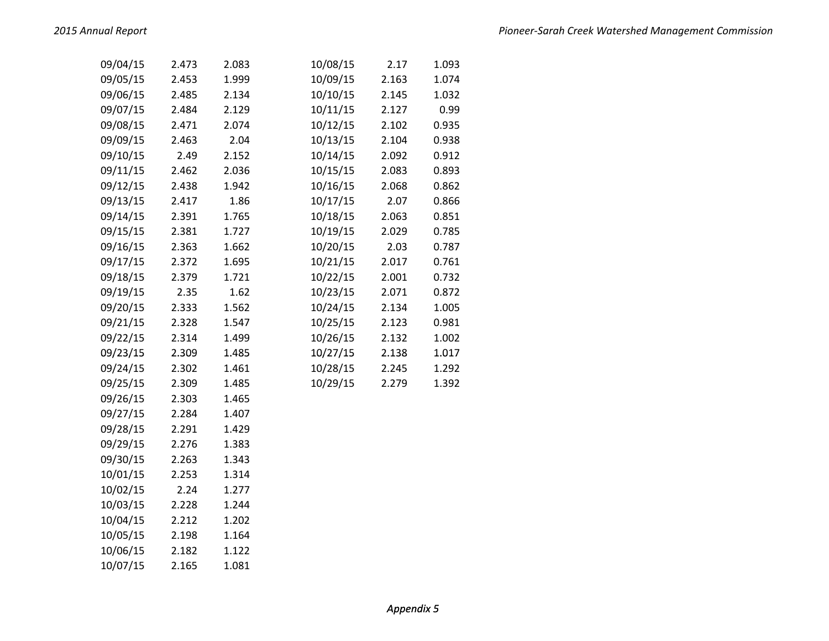| 09/04/15 | 2.473 | 2.083 | 10/08/15 | 2.17  | 1.093 |
|----------|-------|-------|----------|-------|-------|
| 09/05/15 | 2.453 | 1.999 | 10/09/15 | 2.163 | 1.074 |
| 09/06/15 | 2.485 | 2.134 | 10/10/15 | 2.145 | 1.032 |
| 09/07/15 | 2.484 | 2.129 | 10/11/15 | 2.127 | 0.99  |
| 09/08/15 | 2.471 | 2.074 | 10/12/15 | 2.102 | 0.935 |
| 09/09/15 | 2.463 | 2.04  | 10/13/15 | 2.104 | 0.938 |
| 09/10/15 | 2.49  | 2.152 | 10/14/15 | 2.092 | 0.912 |
| 09/11/15 | 2.462 | 2.036 | 10/15/15 | 2.083 | 0.893 |
| 09/12/15 | 2.438 | 1.942 | 10/16/15 | 2.068 | 0.862 |
| 09/13/15 | 2.417 | 1.86  | 10/17/15 | 2.07  | 0.866 |
| 09/14/15 | 2.391 | 1.765 | 10/18/15 | 2.063 | 0.851 |
| 09/15/15 | 2.381 | 1.727 | 10/19/15 | 2.029 | 0.785 |
| 09/16/15 | 2.363 | 1.662 | 10/20/15 | 2.03  | 0.787 |
| 09/17/15 | 2.372 | 1.695 | 10/21/15 | 2.017 | 0.761 |
| 09/18/15 | 2.379 | 1.721 | 10/22/15 | 2.001 | 0.732 |
| 09/19/15 | 2.35  | 1.62  | 10/23/15 | 2.071 | 0.872 |
| 09/20/15 | 2.333 | 1.562 | 10/24/15 | 2.134 | 1.005 |
| 09/21/15 | 2.328 | 1.547 | 10/25/15 | 2.123 | 0.981 |
| 09/22/15 | 2.314 | 1.499 | 10/26/15 | 2.132 | 1.002 |
| 09/23/15 | 2.309 | 1.485 | 10/27/15 | 2.138 | 1.017 |
| 09/24/15 | 2.302 | 1.461 | 10/28/15 | 2.245 | 1.292 |
| 09/25/15 | 2.309 | 1.485 | 10/29/15 | 2.279 | 1.392 |
| 09/26/15 | 2.303 | 1.465 |          |       |       |
| 09/27/15 | 2.284 | 1.407 |          |       |       |
| 09/28/15 | 2.291 | 1.429 |          |       |       |
| 09/29/15 | 2.276 | 1.383 |          |       |       |
| 09/30/15 | 2.263 | 1.343 |          |       |       |
| 10/01/15 | 2.253 | 1.314 |          |       |       |
| 10/02/15 | 2.24  | 1.277 |          |       |       |
| 10/03/15 | 2.228 | 1.244 |          |       |       |
| 10/04/15 | 2.212 | 1.202 |          |       |       |
| 10/05/15 | 2.198 | 1.164 |          |       |       |
| 10/06/15 | 2.182 | 1.122 |          |       |       |
| 10/07/15 | 2.165 | 1.081 |          |       |       |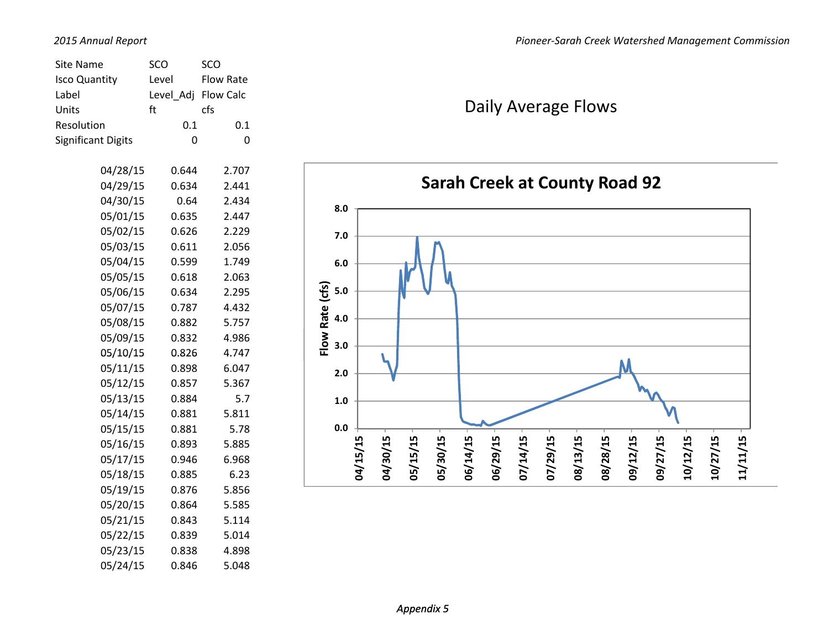| Site Name                 | SCO       | sco              |  |
|---------------------------|-----------|------------------|--|
| <b>Isco Quantity</b>      | Level     | <b>Flow Rate</b> |  |
| Label                     | Level Adj | Flow Calc        |  |
| Units                     | ft        | cfs              |  |
| Resolution                | 0.1       | 0.1              |  |
| <b>Significant Digits</b> | 0         | 0                |  |
|                           |           |                  |  |
| 04/28/15                  | 0.644     | 2.707            |  |
| 04/29/15                  | 0.634     | 2.441            |  |
| 04/30/15                  | 0.64      | 2.434            |  |
| 05/01/15                  | 0.635     | 2.447            |  |
| 05/02/15                  | 0.626     | 2.229            |  |
| 05/03/15                  | 0.611     | 2.056            |  |
| 05/04/15                  | 0.599     | 1.749            |  |
| 05/05/15                  | 0.618     | 2.063            |  |
| 05/06/15                  | 0.634     | 2.295            |  |
| 05/07/15                  | 0.787     | 4.432            |  |
| 05/08/15                  | 0.882     | 5.757            |  |
| 05/09/15                  | 0.832     | 4.986            |  |
| 05/10/15                  | 0.826     | 4.747            |  |
| 05/11/15                  | 0.898     | 6.047            |  |
| 05/12/15                  | 0.857     | 5.367            |  |
| 05/13/15                  | 0.884     | 5.7              |  |
| 05/14/15                  | 0.881     | 5.811            |  |
| 05/15/15                  | 0.881     | 5.78             |  |
| 05/16/15                  | 0.893     | 5.885            |  |
| 05/17/15                  | 0.946     | 6.968            |  |
| 05/18/15                  | 0.885     | 6.23             |  |
| 05/19/15                  | 0.876     | 5.856            |  |
| 05/20/15                  | 0.864     | 5.585            |  |
| 05/21/15                  | 0.843     | 5.114            |  |
| 05/22/15                  | 0.839     | 5.014            |  |
| 05/23/15                  | 0.838     | 4.898            |  |
| 05/24/15                  | 0.846     | 5.048            |  |

## Daily Average Flows

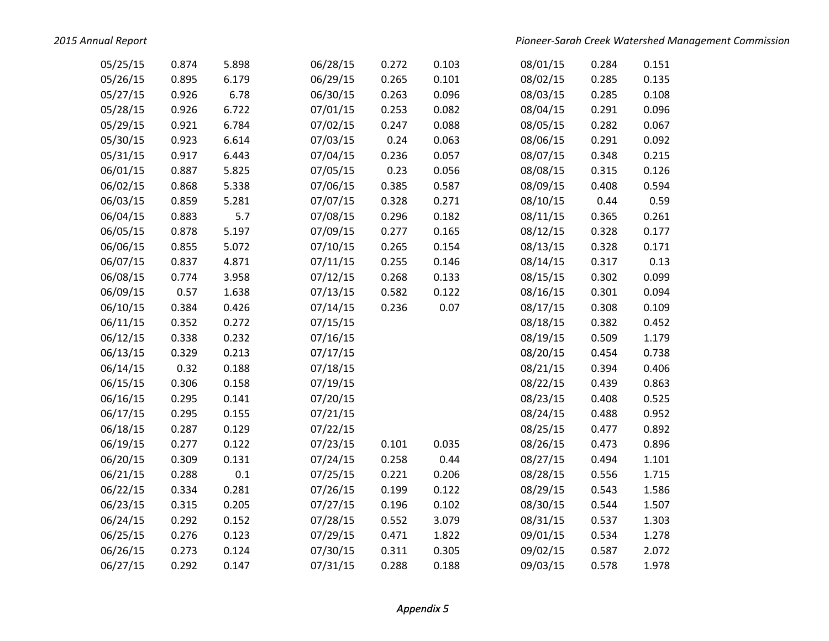*2015*

| 05/25/15 | 0.874 | 5.898 | 06/28/15 | 0.272 | 0.103 | 08/01/15 | 0.284 | 0.151 |
|----------|-------|-------|----------|-------|-------|----------|-------|-------|
| 05/26/15 | 0.895 | 6.179 | 06/29/15 | 0.265 | 0.101 | 08/02/15 | 0.285 | 0.135 |
| 05/27/15 | 0.926 | 6.78  | 06/30/15 | 0.263 | 0.096 | 08/03/15 | 0.285 | 0.108 |
| 05/28/15 | 0.926 | 6.722 | 07/01/15 | 0.253 | 0.082 | 08/04/15 | 0.291 | 0.096 |
| 05/29/15 | 0.921 | 6.784 | 07/02/15 | 0.247 | 0.088 | 08/05/15 | 0.282 | 0.067 |
| 05/30/15 | 0.923 | 6.614 | 07/03/15 | 0.24  | 0.063 | 08/06/15 | 0.291 | 0.092 |
| 05/31/15 | 0.917 | 6.443 | 07/04/15 | 0.236 | 0.057 | 08/07/15 | 0.348 | 0.215 |
| 06/01/15 | 0.887 | 5.825 | 07/05/15 | 0.23  | 0.056 | 08/08/15 | 0.315 | 0.126 |
| 06/02/15 | 0.868 | 5.338 | 07/06/15 | 0.385 | 0.587 | 08/09/15 | 0.408 | 0.594 |
| 06/03/15 | 0.859 | 5.281 | 07/07/15 | 0.328 | 0.271 | 08/10/15 | 0.44  | 0.59  |
| 06/04/15 | 0.883 | 5.7   | 07/08/15 | 0.296 | 0.182 | 08/11/15 | 0.365 | 0.261 |
| 06/05/15 | 0.878 | 5.197 | 07/09/15 | 0.277 | 0.165 | 08/12/15 | 0.328 | 0.177 |
| 06/06/15 | 0.855 | 5.072 | 07/10/15 | 0.265 | 0.154 | 08/13/15 | 0.328 | 0.171 |
| 06/07/15 | 0.837 | 4.871 | 07/11/15 | 0.255 | 0.146 | 08/14/15 | 0.317 | 0.13  |
| 06/08/15 | 0.774 | 3.958 | 07/12/15 | 0.268 | 0.133 | 08/15/15 | 0.302 | 0.099 |
| 06/09/15 | 0.57  | 1.638 | 07/13/15 | 0.582 | 0.122 | 08/16/15 | 0.301 | 0.094 |
| 06/10/15 | 0.384 | 0.426 | 07/14/15 | 0.236 | 0.07  | 08/17/15 | 0.308 | 0.109 |
| 06/11/15 | 0.352 | 0.272 | 07/15/15 |       |       | 08/18/15 | 0.382 | 0.452 |
| 06/12/15 | 0.338 | 0.232 | 07/16/15 |       |       | 08/19/15 | 0.509 | 1.179 |
| 06/13/15 | 0.329 | 0.213 | 07/17/15 |       |       | 08/20/15 | 0.454 | 0.738 |
| 06/14/15 | 0.32  | 0.188 | 07/18/15 |       |       | 08/21/15 | 0.394 | 0.406 |
| 06/15/15 | 0.306 | 0.158 | 07/19/15 |       |       | 08/22/15 | 0.439 | 0.863 |
| 06/16/15 | 0.295 | 0.141 | 07/20/15 |       |       | 08/23/15 | 0.408 | 0.525 |
| 06/17/15 | 0.295 | 0.155 | 07/21/15 |       |       | 08/24/15 | 0.488 | 0.952 |
| 06/18/15 | 0.287 | 0.129 | 07/22/15 |       |       | 08/25/15 | 0.477 | 0.892 |
| 06/19/15 | 0.277 | 0.122 | 07/23/15 | 0.101 | 0.035 | 08/26/15 | 0.473 | 0.896 |
| 06/20/15 | 0.309 | 0.131 | 07/24/15 | 0.258 | 0.44  | 08/27/15 | 0.494 | 1.101 |
| 06/21/15 | 0.288 | 0.1   | 07/25/15 | 0.221 | 0.206 | 08/28/15 | 0.556 | 1.715 |
| 06/22/15 | 0.334 | 0.281 | 07/26/15 | 0.199 | 0.122 | 08/29/15 | 0.543 | 1.586 |
| 06/23/15 | 0.315 | 0.205 | 07/27/15 | 0.196 | 0.102 | 08/30/15 | 0.544 | 1.507 |
| 06/24/15 | 0.292 | 0.152 | 07/28/15 | 0.552 | 3.079 | 08/31/15 | 0.537 | 1.303 |
| 06/25/15 | 0.276 | 0.123 | 07/29/15 | 0.471 | 1.822 | 09/01/15 | 0.534 | 1.278 |
| 06/26/15 | 0.273 | 0.124 | 07/30/15 | 0.311 | 0.305 | 09/02/15 | 0.587 | 2.072 |
| 06/27/15 | 0.292 | 0.147 | 07/31/15 | 0.288 | 0.188 | 09/03/15 | 0.578 | 1.978 |